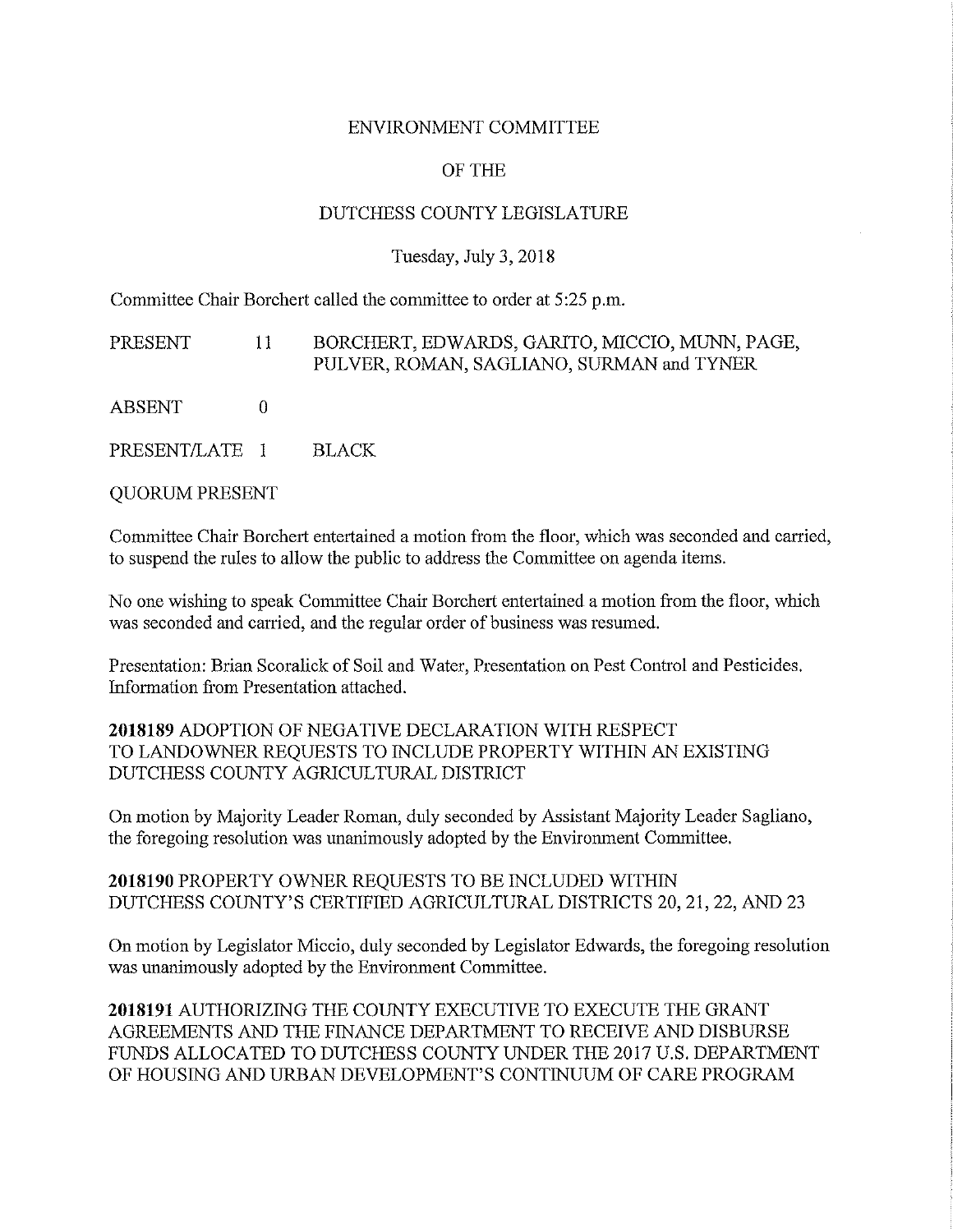### ENVIRONMENT COMMITTEE

### OF THE

### DUTCHESS COUNTY LEGISLATURE

### Tuesday, July 3, 2018

Committee Chair Borchert called the committee to order at 5 :25 p.m.

PRESENT 11 ABSENT 0 PRESENT/LATE 1 BORCHERT, EDWARDS, GARITO, MICCIO, MUNN, PAGE, PULVER, ROMAN, SAGLIANO, SURMAN and TYNER BLACK

QUORUM PRESENT

Committee Chair Borchert entertained a motion from the floor, which was seconded and carried, to suspend the rules to allow the public to address the Committee on agenda items.

No one wishing to speak Committee Chair Borchert entertained a motion from the floor, which was seconded and carried, and the regular order of business was resumed.

Presentation: Brian Scoralick of Soil and Water, Presentation on Pest Control and Pesticides. Information from Presentation attached.

**2018189** ADOPTION OF NEGATIVE DECLARATION WITH RESPECT TO LANDOWNER REQUESTS TO INCLUDE PROPERTY WITHIN AN EXISTING DUTCHESS COUNTY AGRICULTURAL DISTRICT

On motion by Majority Leader Roman, duly seconded by Assistant Majority Leader Sagliano, the foregoing resolution was unanimously adopted by the Environment Committee.

**2018190** PROPERTY OWNER REQUESTS TO BE INCLUDED WITHIN DUTCHESS COUNTY'S CERTIFIED AGRICULTURAL DISTRICTS 20, 21, 22, AND 23

On motion by Legislator Miccio, duly seconded by Legislator Edwards, the foregoing resolution was unanimously adopted by the Environment Committee.

**2018191** AUTHORIZING THE COUNTY EXECUTIVE TO EXECUTE THE GRANT AGREEMENTS AND THE FINANCE DEPARTMENT TO RECEIVE AND DISBURSE FUNDS ALLOCATED TO DUTCHESS COUNTY UNDER THE 2017 U.S. DEPARTMENT OF HOUSING AND URBAN DEVELOPMENT'S CONTINUUM OF CARE PROGRAM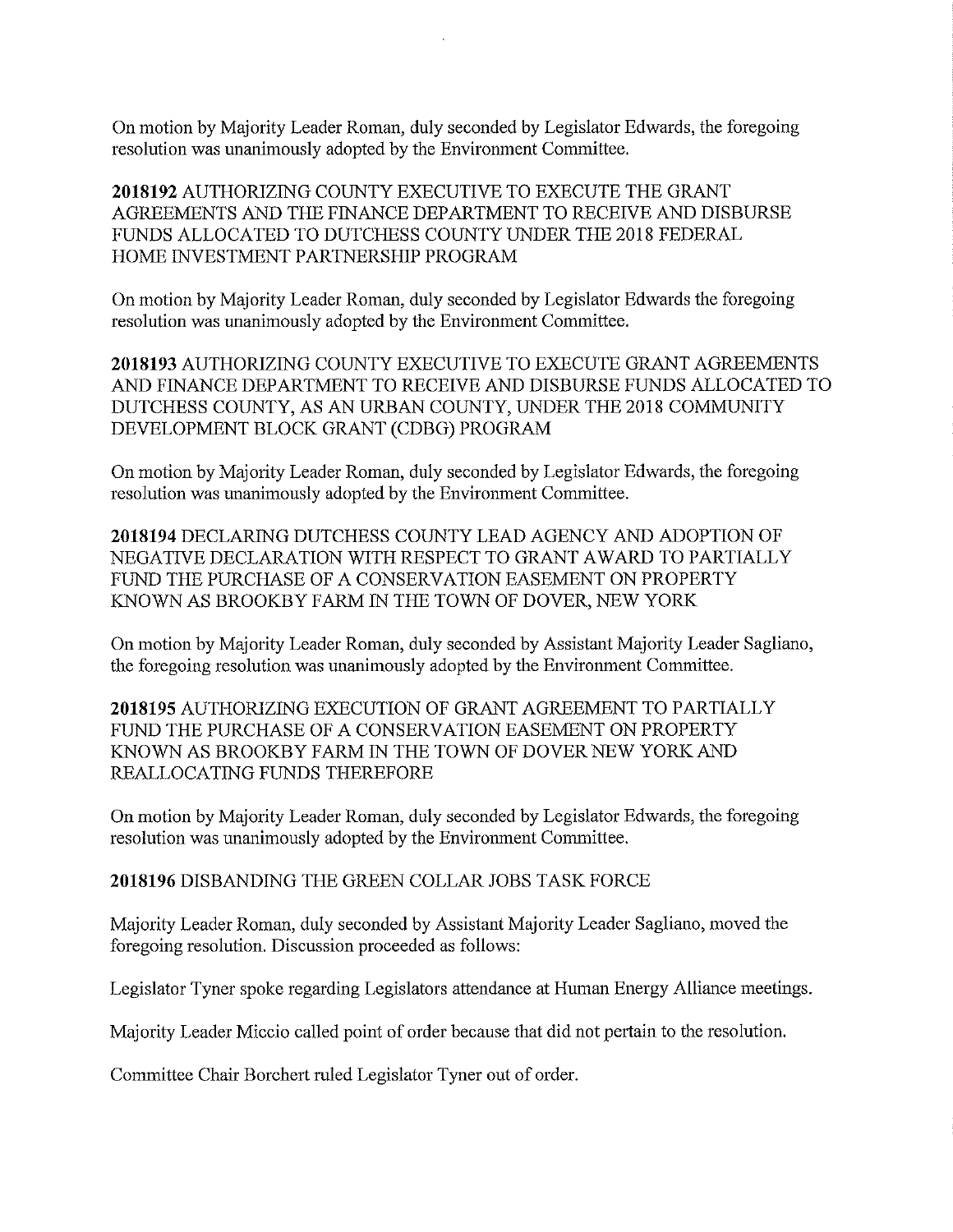On motion by Majority Leader Roman, duly seconded by Legislator Edwards, the foregoing resolution was unanimously adopted by the Environment Committee.

**2018192** AUTHORIZING COUNTY EXECUTIVE TO EXECUTE THE GRANT AGREEMENTS AND THE FINANCE DEPARTMENT TO RECEIVE AND DISBURSE FUNDS ALLOCATED TO DUTCHESS COUNTY UNDER THE 2018 FEDERAL HOME INVESTMENT PARTNERSHIP PROGRAM

On motion by Majority Leader Roman, duly seconded by Legislator Edwards the foregoing resolution was unanimously adopted by the Environment Committee.

**2018193** AUTHORIZING COUNTY EXECUTIVE TO EXECUTE GRANT AGREEMENTS AND FINANCE DEPARTMENT TO RECEIVE AND DISBURSE FUNDS ALLOCATED TO DUTCHESS COUNTY, AS AN URBAN COUNTY, UNDER THE 2018 COMMUNITY DEVELOPMENT BLOCK GRANT (CDBG) PROGRAM

On motion by Majority Leader Roman, duly seconded by Legislator Edwards, the foregoing resolution was unanimously adopted by the Environment Committee.

**2018194** DECLARING DUTCHESS COUNTY LEAD AGENCY AND ADOPTION OF NEGATIVE DECLARATION WITH RESPECT TO GRANT AWARD TO PARTIALLY FUND THE PURCHASE OF A CONSERVATION EASEMENT ON PROPERTY KNOWN AS BROOKBY FARM IN THE TOWN OF DOVER, NEW YORK

On motion by Majority Leader Roman, duly seconded by Assistant Majority Leader Sagliano, the foregoing resolution was unanimously adopted by the Environment Committee.

**2018195 AUTHORIZING EXECUTION OF GRANT AGREEMENT TO PARTIALLY** FUND THE PURCHASE OF A CONSERVATION EASEMENT ON PROPERTY KNOWN AS BROOKBY FARM IN THE TOWN OF DOVER NEW YORK AND REALLOCATING FUNDS THEREFORE

On motion by Majority Leader Roman, duly seconded by Legislator Edwards, the foregoing resolution was unanimously adopted by the Environment Committee.

### **2018196** DISBANDING THE GREEN COLLAR JOBS TASK FORCE

Majority Leader Roman, duly seconded by Assistant Majority Leader Sagliano, moved the foregoing resolution. Discussion proceeded as follows:

Legislator Tyner spoke regarding Legislators attendance at Human Energy Alliance meetings.

Majority Leader Miccio called point of order because that did not pertain to the resolution.

Committee Chair Borchert ruled Legislator Tyner out of order.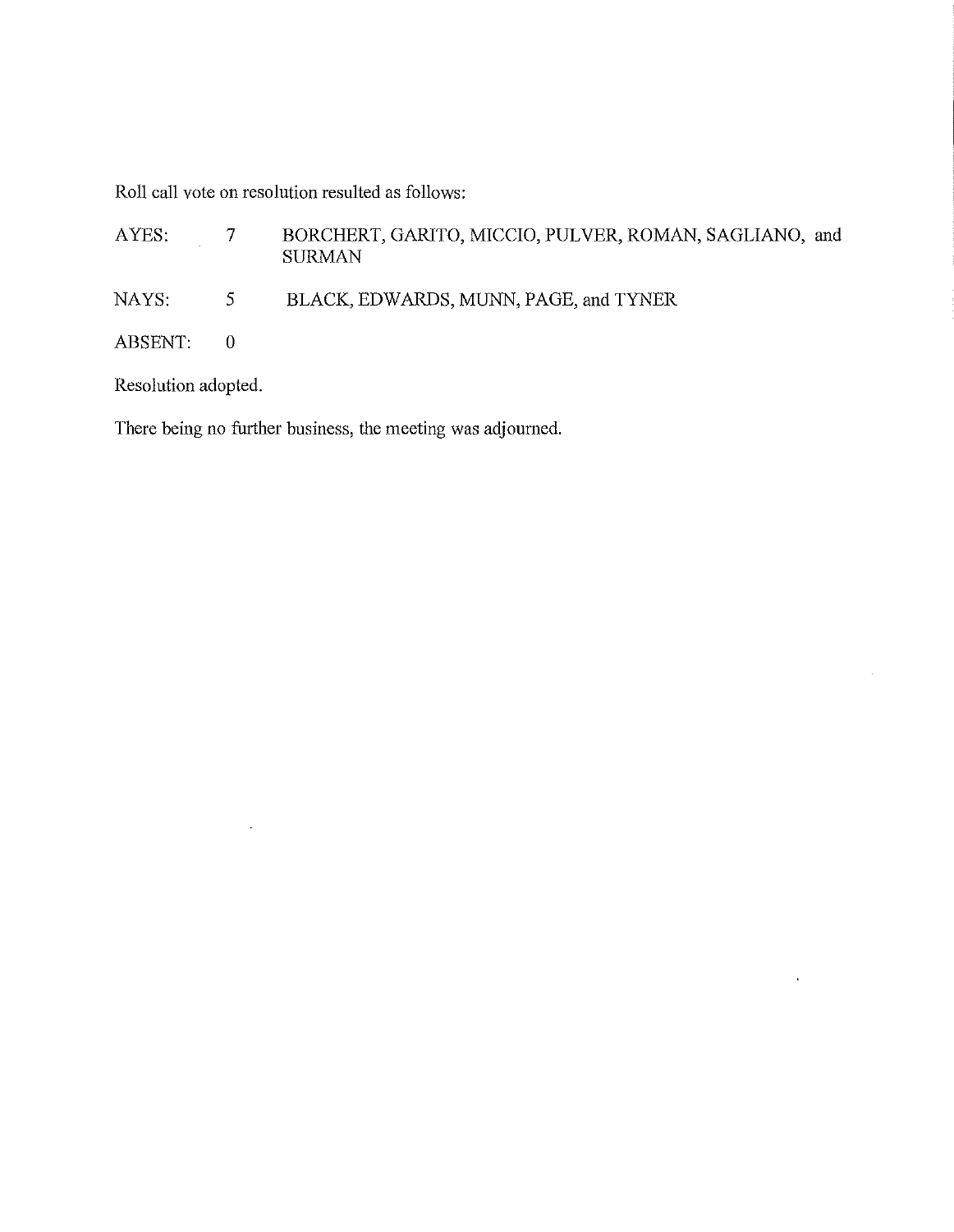Roll call vote on resolution resulted as follows:

| AYES:     |   | BORCHERT, GARITO, MICCIO, PULVER, ROMAN, SAGLIANO, and<br><b>SURMAN</b> |
|-----------|---|-------------------------------------------------------------------------|
| NAYS:     | 5 | BLACK, EDWARDS, MUNN, PAGE, and TYNER                                   |
| ABSENT: 0 |   |                                                                         |

 $\sim$ 

 $\mathcal{L}^{\text{max}}_{\text{max}}$  and  $\mathcal{L}^{\text{max}}_{\text{max}}$ 

Resolution adopted.

 $\mathcal{L}^{\text{max}}_{\text{max}}$  , where  $\mathcal{L}^{\text{max}}_{\text{max}}$ 

There being no further business, the meeting was adjourned.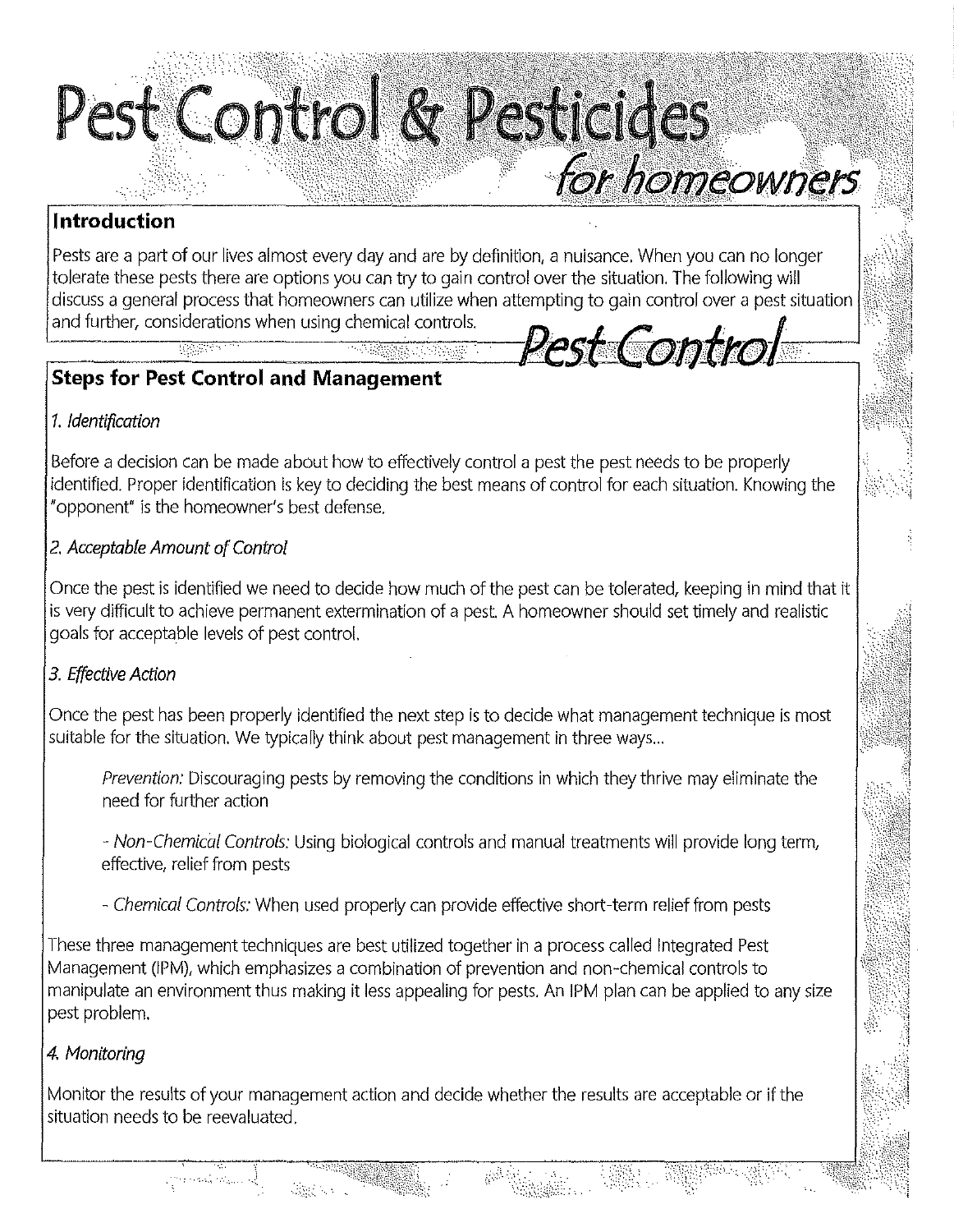

### **Introduction**

Pests are a part of our lives almost every day and are by definition, a nuisance. When you can no longer tolerate these pests there are options you can try to gain control over the situation. The following will discuss a general process that homeowners can utilize when attempting to gain control over a pest situation and further, considerations when using chemical controls. *Pest:Control* 

## **Steps for Pest Control and Management**

### 1. Identification

Before a decision can be made about how to effectively control a pest the pest needs to be properly identified. Proper identification is key to deciding the best means of control for each situation. Knowing the "opponent" is the homeowner's best defense.

### 2. Acceptable Amount of Control

Once the pest is identified we need to decide how much of the pest can be tolerated, keeping in mind that it is very difficult to achieve permanent extermination of a pest. A homeowner should set timely and realistic goals for acceptable levels of pest control.

### 3. Effective Action

Once the pest has been properly identified the next step is to decide what management technique is most suitable for the situation. We typically think about pest management in three ways ...

Prevention: Discouraging pests by removing the conditions in which they thrive may eliminate the need for further action

- Non-Chemical Controls: Using biological controls and manual treatments will provide long term, effective, relief from pests

- Chemical Controls: When used properly can provide effective short-term relief from pests

These three management techniques are best utilized together in a process called Integrated Pest Management (!PM), which emphasizes a combination of prevention and non-chemical controls to manipulate an environment thus making it less appealing for pests. An /PM plan can be applied to any size pest problem.

### 4. Monitoring

Monitor the results of your management action and decide whether the results are acceptable or if the situation needs to be reevaluated.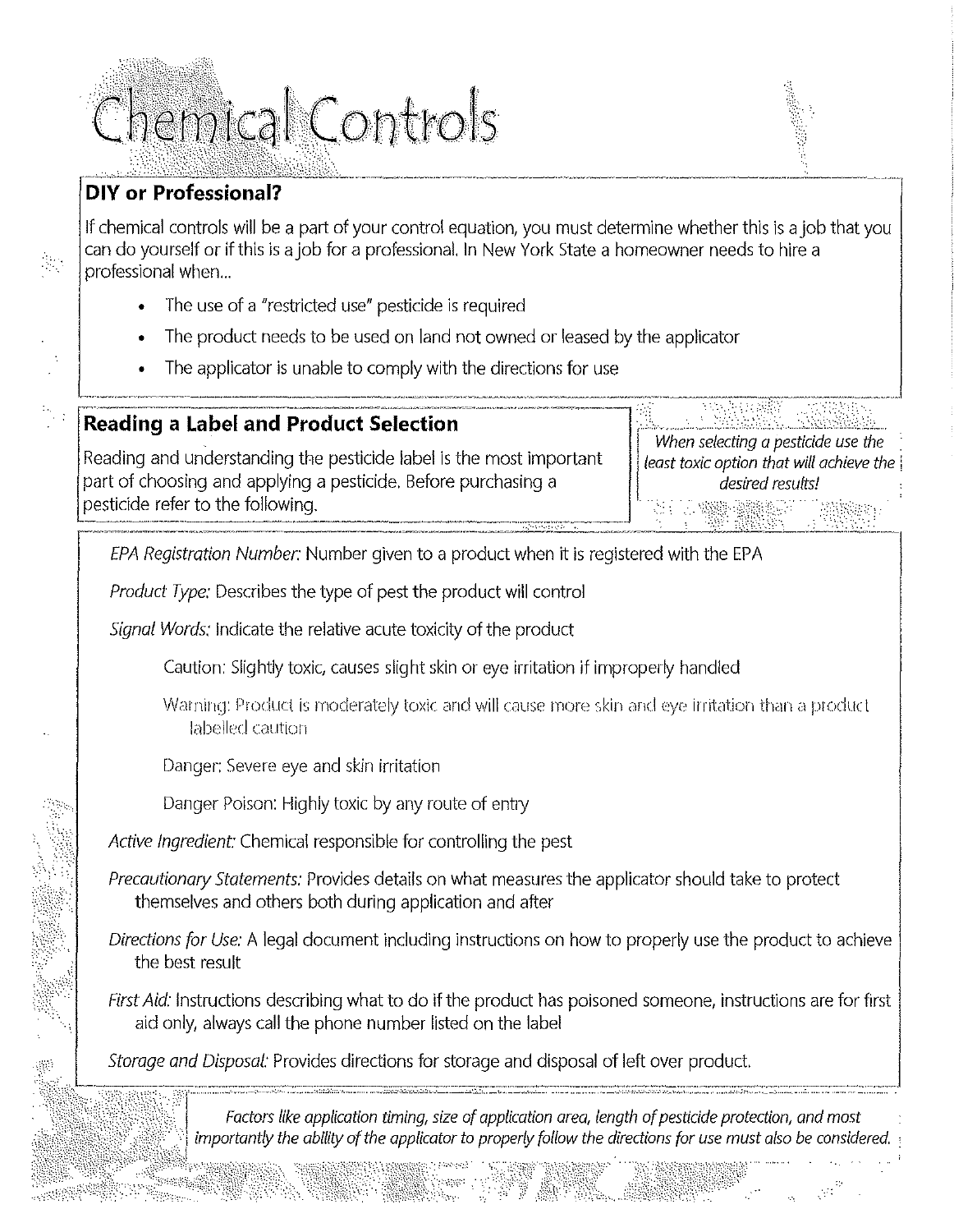# Chemical Controls

## **DIY or Professional?**

a frequen

If chemical controls will be a part of your control equation, you must determine whether this is a job that you can do yourself or if this is a job for a professional. In New York State a homeowner needs to hire a professional when...

- The use of a "restricted use" pesticide is required
- The product needs to be used on land not owned or leased by the applicator
- The applicator is unable to comply with the directions for use

### **Reading a Label and Product Selection**

Reading and understanding the pesticide label is the most important part of choosing and applying a pesticide. Before purchasing a pesticide refer to the following.

When selecting a pesticide use the least toxic option that will achieve the desired results!

EPA Registration Number: Number given to a product when it is registered with the EPA

Product Type: Describes the type of pest the product will control

Signal Words: Indicate the relative acute toxicity of the product

Caution: Slightly toxic, causes slight skin or eye irritation if improperly handled

- Warning: Product is moderately toxic and will cause more skin and eye irritation than a product labelled caution
- Danger: Severe eye and skin irritation
- Danger Poison: Highly toxic by any route of entry

Active Ingredient: Chemical responsible for controlling the pest

*Precautionary Statements: Provides details on what measures the applicator should take to protect* themselves and others both during application and after

Directions for Use: A legal document including instructions on how to properly use the product to achieve the best result

First Aid: Instructions describing what to do if the product has poisoned someone, instructions are for first aid only, always call the phone number listed on the label

Storage and Disposal: Provides directions for storage and disposal of left over product.

Factors like application timing, size of application area, length of pesticide protection, and most importantly the ability of the applicator to properly follow the directions for use must also be considered.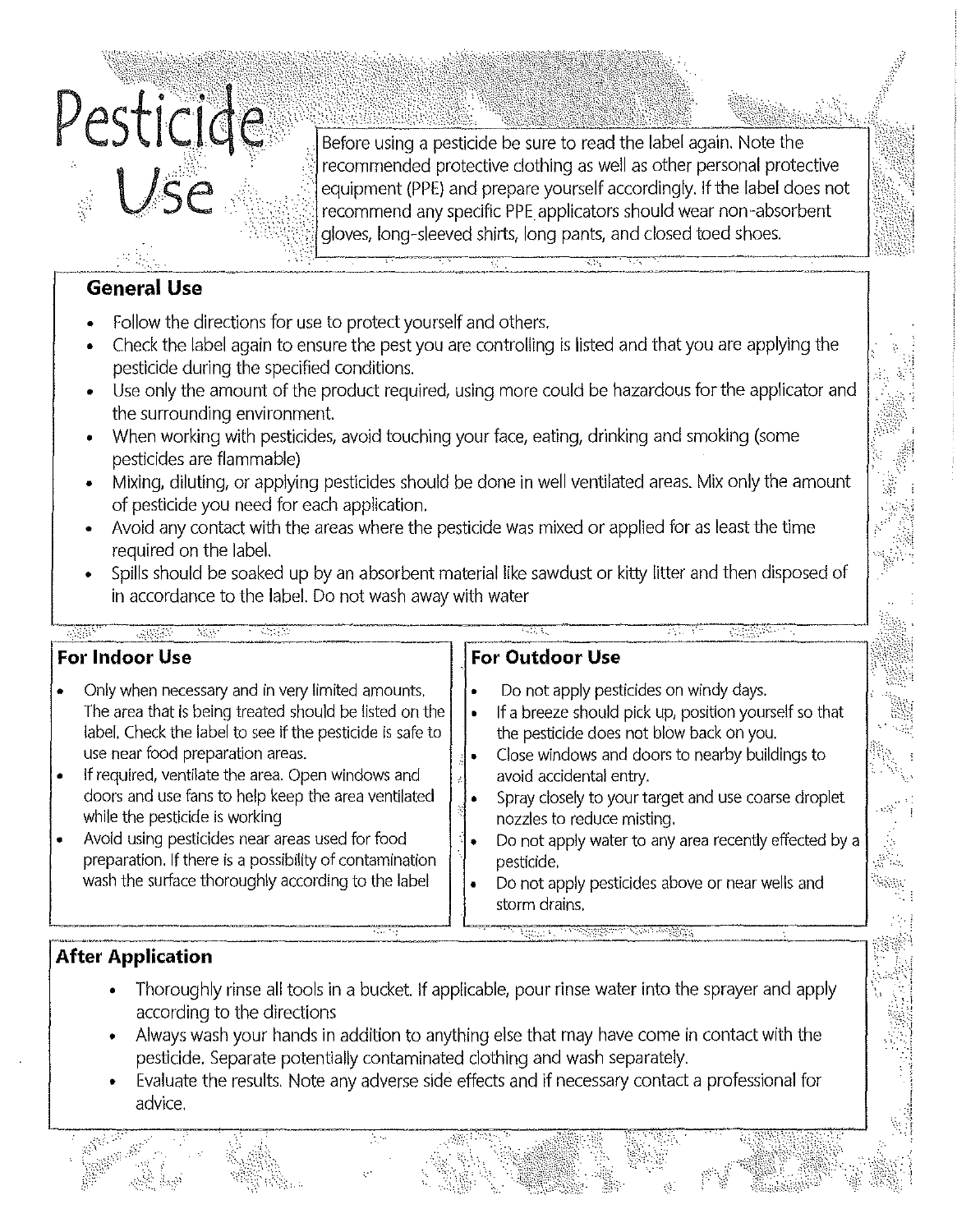

Before using a pesticide be sure to read the label again. Note the recommended protective clothing as well as other personal protective equipment (PPE) and prepare yourself accordingly. If the label does not recommend any specific PPE applicators should wear non-absorbent gloves, long-sleeved shirts, long pants, and closed toed shoes.

### **General Use**

- Follow the directions for use to protect yourself and others.
- Check the label again to ensure the pest you are controlling is listed and that you are applying the pesticide during the specified conditions.
- Use only the amount of the product required, using more could be hazardous for the applicator and the surrounding environment.
- When working with pesticides, avoid touching your face, eating, drinking and smoking (some pesticides are flammable)
- Mixing, diluting, or applying pesticides should be done in well ventilated areas. Mix only the amount of pesticide you need for each application.
- Avoid any contact with the areas where the pesticide was mixed or applied for as least the time required on the label.
- Spills should be soaked up by an absorbent material like sawdust or kitty litter and then disposed of in accordance to the label. Do not wash away with water

### यामा manya - 28  $\sim 10^{11}$   $M_{\odot}$  $\mathcal{A}$  . - 地震部。 **For Indoor Use For Outdoor Use** • Only when necessary and in very limited amounts. • Do not apply pesticides on windy days. The area that is being treated should be listed on the If a breeze should pick up, position yourself so that label. Check the label to see if the pesticide is safe to the pesticide does not blow back on you. use near food preparation areas. Close windows and doors to nearby buildings to If required, ventilate the area. Open windows and avoid accidental entry. doors and use fans to help keep the area ventilated Spray closely to your target and use coarse droplet while the pesticide is working nozzles to reduce misting. • Avoid using pesticides near areas used for food Do not apply water to any area recently effected by a preparation. If there is a possibility of contamination pesticide. wash the surface thoroughly according to the label • Do not apply pesticides above or near wells and storm drains.

### **After Application**

- Thoroughly rinse all tools in a bucket. If applicable, pour rinse water into the sprayer and apply according to the directions
- Always wash your hands in addition to anything else that may have come in contact with the pesticide. Separate potentially contaminated clothing and wash separately.
- Evaluate the results. Note any adverse side effects and if necessary contact a professional for advice.